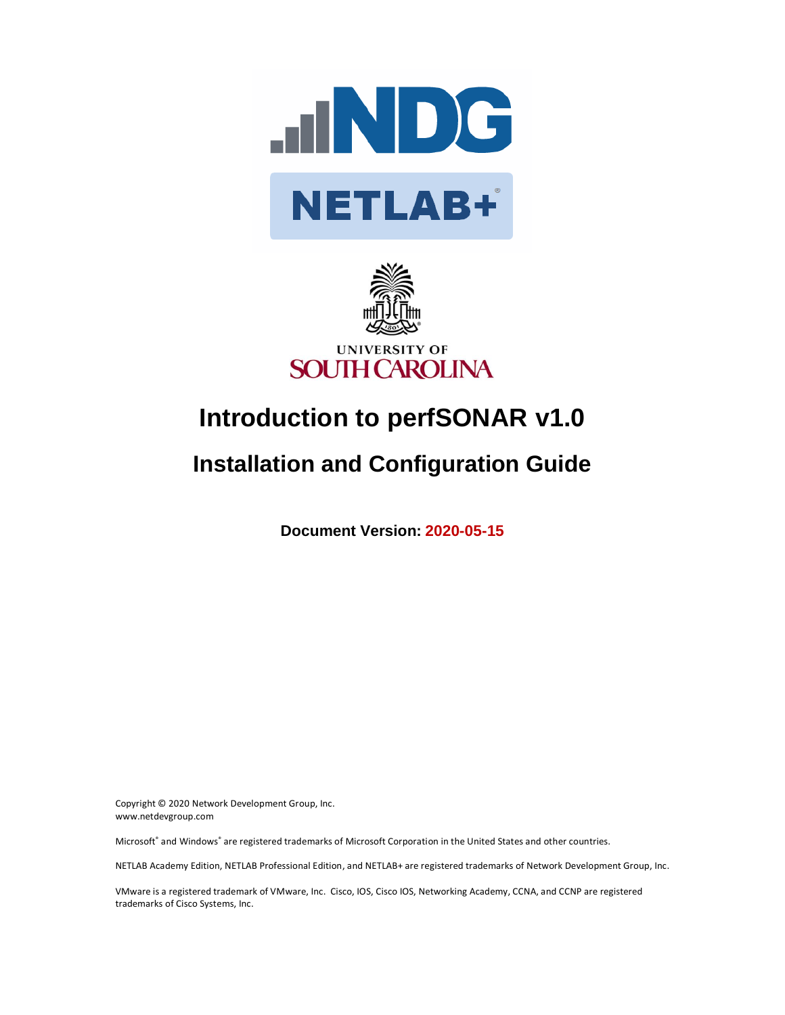



# **Introduction to perfSONAR v1.0**

## **Installation and Configuration Guide**

**Document Version: 2020-05-15**

Copyright © 2020 Network Development Group, Inc. www.netdevgroup.com

Microsoft® and Windows® are registered trademarks of Microsoft Corporation in the United States and other countries.

NETLAB Academy Edition, NETLAB Professional Edition, and NETLAB+ are registered trademarks of Network Development Group, Inc.

VMware is a registered trademark of VMware, Inc. Cisco, IOS, Cisco IOS, Networking Academy, CCNA, and CCNP are registered trademarks of Cisco Systems, Inc.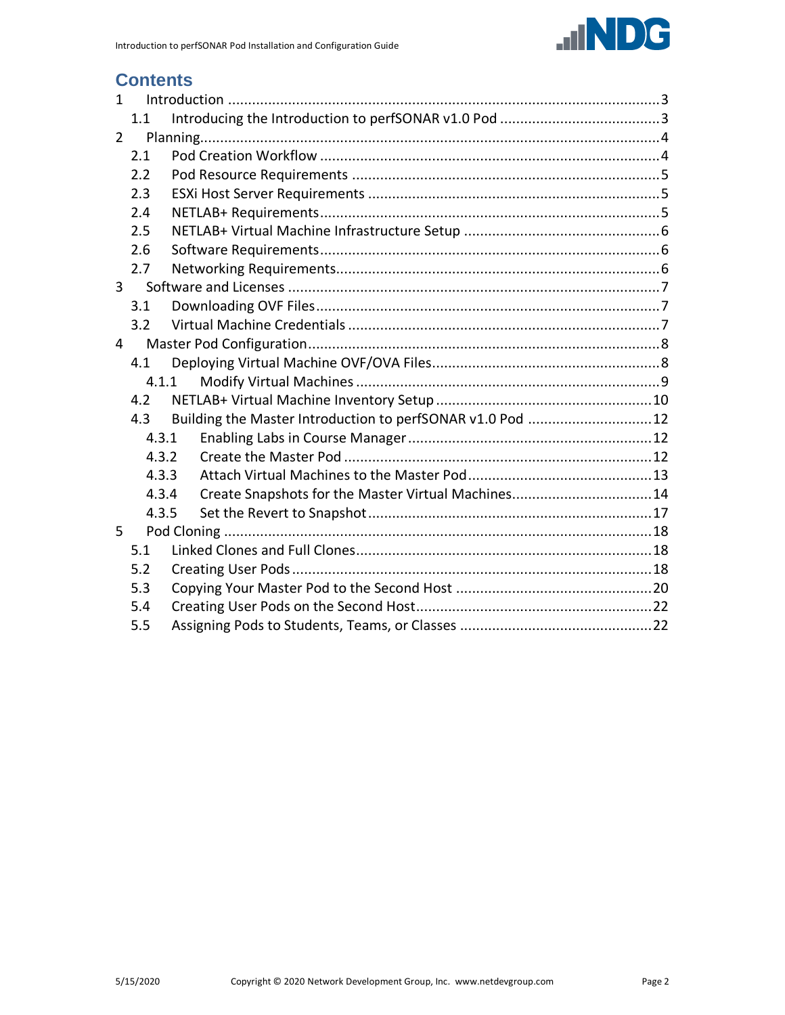

## **Contents**

| $\mathbf{1}$   |       |                                                           |  |  |  |
|----------------|-------|-----------------------------------------------------------|--|--|--|
|                | 1.1   |                                                           |  |  |  |
| $\overline{2}$ |       |                                                           |  |  |  |
| 2.1            |       |                                                           |  |  |  |
|                | 2.2   |                                                           |  |  |  |
|                | 2.3   |                                                           |  |  |  |
|                | 2.4   |                                                           |  |  |  |
|                | 2.5   |                                                           |  |  |  |
|                | 2.6   |                                                           |  |  |  |
|                | 2.7   |                                                           |  |  |  |
| $\mathbf{3}$   |       |                                                           |  |  |  |
|                | 3.1   |                                                           |  |  |  |
|                | 3.2   |                                                           |  |  |  |
| 4              |       |                                                           |  |  |  |
| 4.1            |       |                                                           |  |  |  |
|                |       | 4.1.1                                                     |  |  |  |
|                | 4.2   |                                                           |  |  |  |
|                | 4.3   | Building the Master Introduction to perfSONAR v1.0 Pod 12 |  |  |  |
|                | 4.3.1 |                                                           |  |  |  |
|                | 4.3.2 |                                                           |  |  |  |
|                | 4.3.3 |                                                           |  |  |  |
|                | 4.3.4 | Create Snapshots for the Master Virtual Machines14        |  |  |  |
|                | 4.3.5 |                                                           |  |  |  |
| 5              |       |                                                           |  |  |  |
|                | 5.1   |                                                           |  |  |  |
|                | 5.2   |                                                           |  |  |  |
|                | 5.3   |                                                           |  |  |  |
|                | 5.4   |                                                           |  |  |  |
|                | 5.5   |                                                           |  |  |  |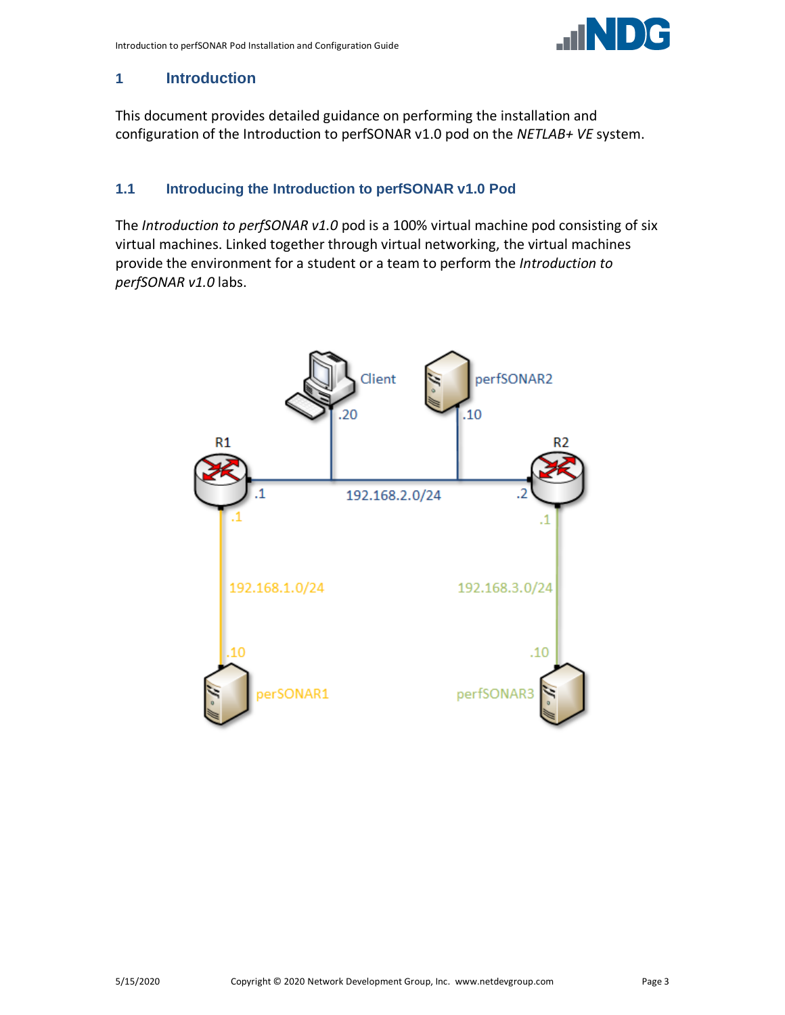

#### <span id="page-2-0"></span>**1 Introduction**

This document provides detailed guidance on performing the installation and configuration of the Introduction to perfSONAR v1.0 pod on the *NETLAB+ VE* system.

#### <span id="page-2-1"></span>**1.1 Introducing the Introduction to perfSONAR v1.0 Pod**

The *Introduction to perfSONAR v1.0* pod is a 100% virtual machine pod consisting of six virtual machines. Linked together through virtual networking, the virtual machines provide the environment for a student or a team to perform the *Introduction to perfSONAR v1.0* labs.

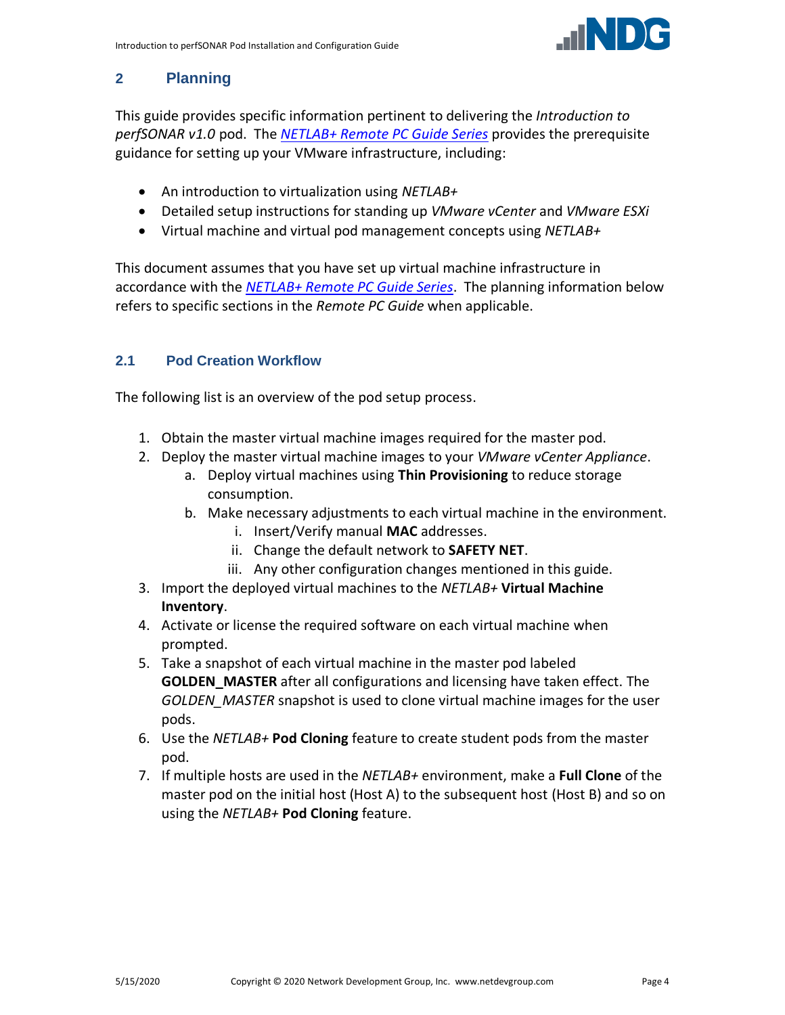

## <span id="page-3-0"></span>**2 Planning**

This guide provides specific information pertinent to delivering the *Introduction to perfSONAR v1.0* pod. The *[NETLAB+ Remote PC Guide Series](http://www.netdevgroup.com/support/documentation/netlabve/)* provides the prerequisite guidance for setting up your VMware infrastructure, including:

- An introduction to virtualization using *NETLAB+*
- Detailed setup instructions for standing up *VMware vCenter* and *VMware ESXi*
- Virtual machine and virtual pod management concepts using *NETLAB+*

This document assumes that you have set up virtual machine infrastructure in accordance with the *[NETLAB+ Remote PC Guide Series](http://www.netdevgroup.com/support/documentation/netlabve/)*. The planning information below refers to specific sections in the *Remote PC Guide* when applicable.

## <span id="page-3-1"></span>**2.1 Pod Creation Workflow**

The following list is an overview of the pod setup process.

- 1. Obtain the master virtual machine images required for the master pod.
- 2. Deploy the master virtual machine images to your *VMware vCenter Appliance*.
	- a. Deploy virtual machines using **Thin Provisioning** to reduce storage consumption.
	- b. Make necessary adjustments to each virtual machine in the environment.
		- i. Insert/Verify manual **MAC** addresses.
		- ii. Change the default network to **SAFETY NET**.
		- iii. Any other configuration changes mentioned in this guide.
- 3. Import the deployed virtual machines to the *NETLAB+* **Virtual Machine Inventory**.
- 4. Activate or license the required software on each virtual machine when prompted.
- 5. Take a snapshot of each virtual machine in the master pod labeled **GOLDEN\_MASTER** after all configurations and licensing have taken effect. The *GOLDEN\_MASTER* snapshot is used to clone virtual machine images for the user pods.
- 6. Use the *NETLAB+* **Pod Cloning** feature to create student pods from the master pod.
- 7. If multiple hosts are used in the *NETLAB+* environment, make a **Full Clone** of the master pod on the initial host (Host A) to the subsequent host (Host B) and so on using the *NETLAB+* **Pod Cloning** feature.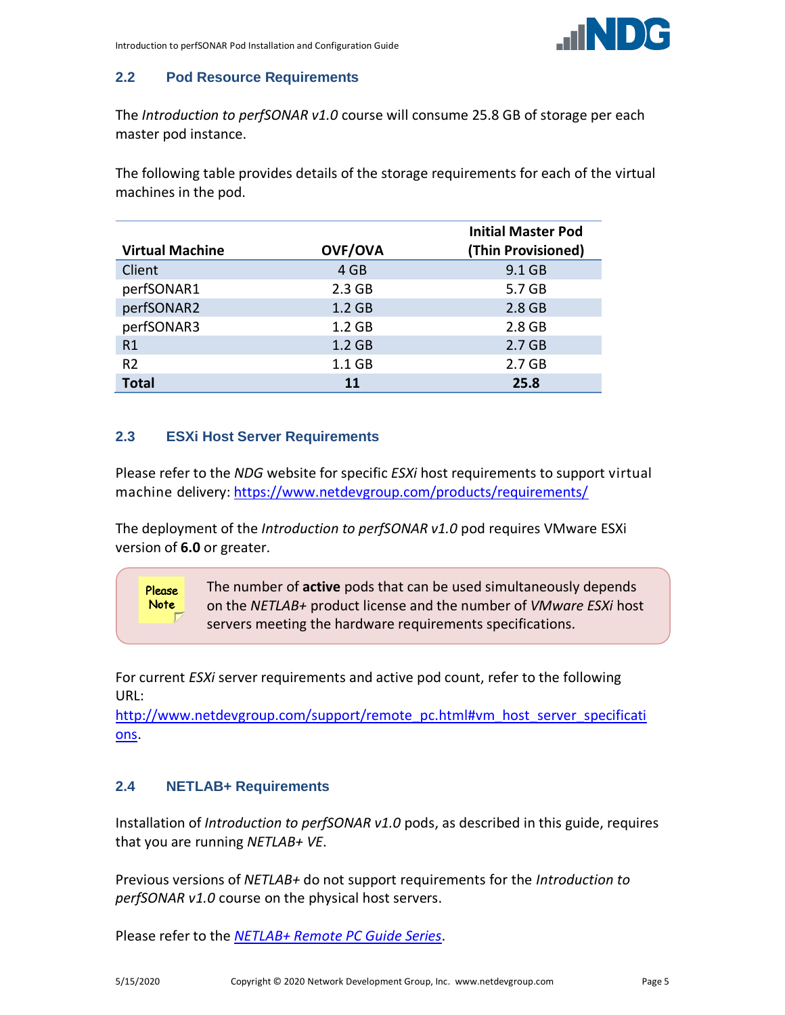

#### <span id="page-4-0"></span>**2.2 Pod Resource Requirements**

The *Introduction to perfSONAR v1.0* course will consume 25.8 GB of storage per each master pod instance.

The following table provides details of the storage requirements for each of the virtual machines in the pod.

|                        |                   | <b>Initial Master Pod</b> |
|------------------------|-------------------|---------------------------|
| <b>Virtual Machine</b> | <b>OVF/OVA</b>    | (Thin Provisioned)        |
| Client                 | 4 GB              | 9.1 GB                    |
| perfSONAR1             | 2.3 <sub>GB</sub> | 5.7 GB                    |
| perfSONAR2             | 1.2 <sub>GB</sub> | 2.8 GB                    |
| perfSONAR3             | 1.2 <sub>GB</sub> | 2.8 GB                    |
| R1                     | 1.2 <sub>GB</sub> | 2.7 <sub>GB</sub>         |
| R <sub>2</sub>         | $1.1$ GB          | 2.7 <sub>GB</sub>         |
| <b>Total</b>           | 11                | 25.8                      |

#### <span id="page-4-1"></span>**2.3 ESXi Host Server Requirements**

Please refer to the *NDG* website for specific *ESXi* host requirements to support virtual machine delivery: <https://www.netdevgroup.com/products/requirements/>

The deployment of the *Introduction to perfSONAR v1.0* pod requires VMware ESXi version of **6.0** or greater.

The number of **active** pods that can be used simultaneously depends **Please** Note on the *NETLAB+* product license and the number of *VMware ESXi* host servers meeting the hardware requirements specifications.

For current *ESXi* server requirements and active pod count, refer to the following URL:

[http://www.netdevgroup.com/support/remote\\_pc.html#vm\\_host\\_server\\_specificati](http://www.netdevgroup.com/support/remote_pc.html#vm_host_server_specifications) [ons.](http://www.netdevgroup.com/support/remote_pc.html#vm_host_server_specifications)

#### <span id="page-4-2"></span>**2.4 NETLAB+ Requirements**

Installation of *Introduction to perfSONAR v1.0* pods, as described in this guide, requires that you are running *NETLAB+ VE*.

Previous versions of *NETLAB+* do not support requirements for the *Introduction to perfSONAR v1.0* course on the physical host servers.

Please refer to the *[NETLAB+ Remote PC Guide Series](https://www.netdevgroup.com/support/documentation/netlabve/)*.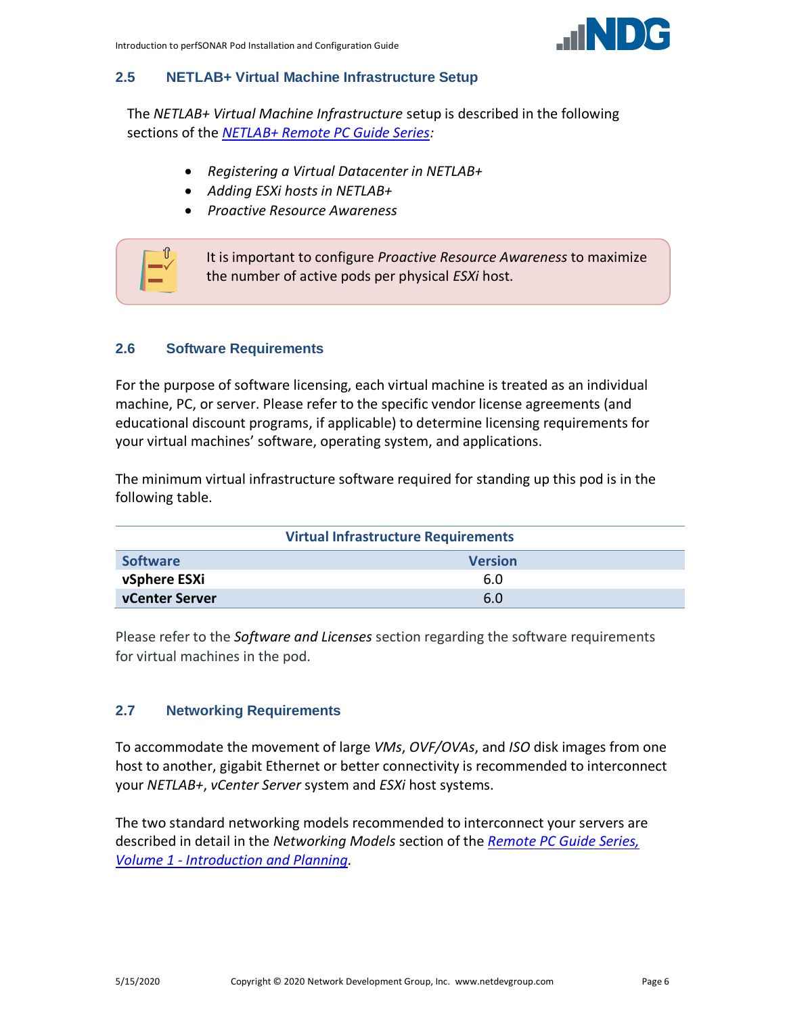

#### <span id="page-5-0"></span>**2.5 NETLAB+ Virtual Machine Infrastructure Setup**

The *NETLAB+ Virtual Machine Infrastructure* setup is described in the following sections of the *[NETLAB+ Remote PC Guide Series:](http://www.netdevgroup.com/support/documentation/netlabve/)*

- *Registering a Virtual Datacenter in NETLAB+*
- *Adding ESXi hosts in NETLAB+*
- *Proactive Resource Awareness*



#### <span id="page-5-1"></span>**2.6 Software Requirements**

For the purpose of software licensing, each virtual machine is treated as an individual machine, PC, or server. Please refer to the specific vendor license agreements (and educational discount programs, if applicable) to determine licensing requirements for your virtual machines' software, operating system, and applications.

The minimum virtual infrastructure software required for standing up this pod is in the following table.

| <b>Virtual Infrastructure Requirements</b> |                |  |  |  |
|--------------------------------------------|----------------|--|--|--|
| <b>Software</b>                            | <b>Version</b> |  |  |  |
| vSphere ESXi                               | 6.0            |  |  |  |
| <b>vCenter Server</b>                      | 6.0            |  |  |  |

Please refer to the *Software and Licenses* section regarding the software requirements for virtual machines in the pod.

#### <span id="page-5-2"></span>**2.7 Networking Requirements**

To accommodate the movement of large *VMs*, *OVF/OVAs*, and *ISO* disk images from one host to another, gigabit Ethernet or better connectivity is recommended to interconnect your *NETLAB+*, *vCenter Server* system and *ESXi* host systems.

The two standard networking models recommended to interconnect your servers are described in detail in the *Networking Models* section of the *[Remote PC Guide Series,](http://www.netdevgroup.com/support/documentation/NETLAB_Remote_PC_Guide_Vol_1_Introduction.pdf)  Volume 1 - [Introduction and Planning.](http://www.netdevgroup.com/support/documentation/NETLAB_Remote_PC_Guide_Vol_1_Introduction.pdf)*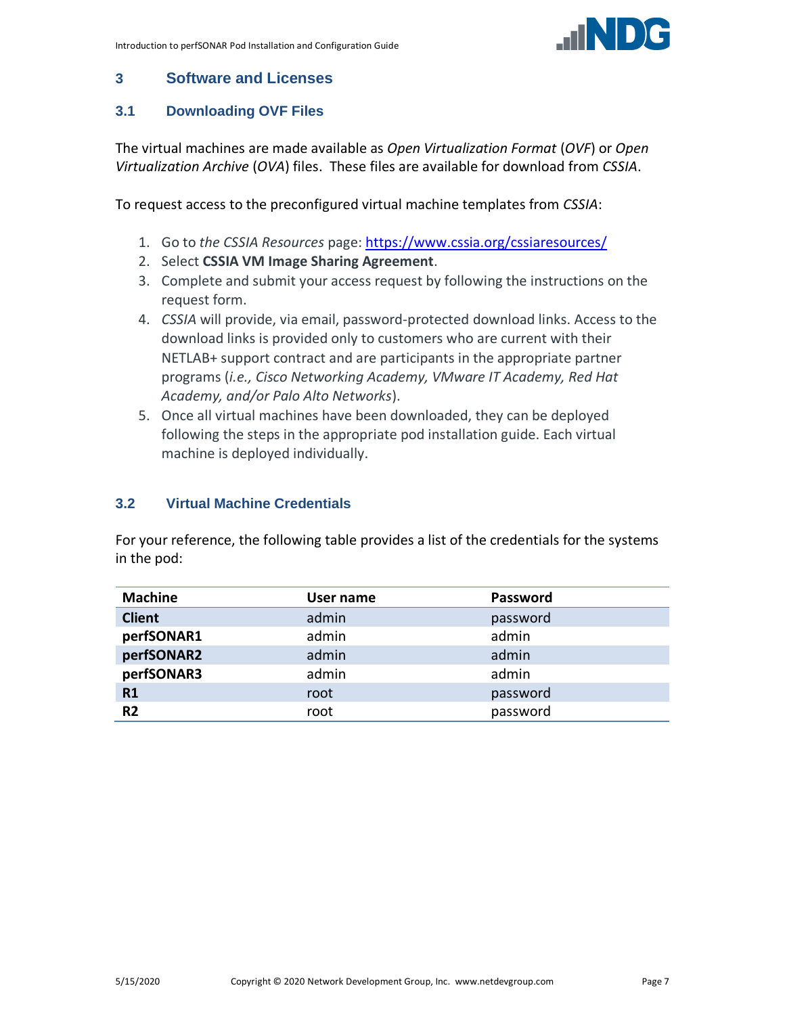

#### <span id="page-6-0"></span>**3 Software and Licenses**

#### <span id="page-6-1"></span>**3.1 Downloading OVF Files**

The virtual machines are made available as *Open Virtualization Format* (*OVF*) or *Open Virtualization Archive* (*OVA*) files. These files are available for download from *CSSIA*.

To request access to the preconfigured virtual machine templates from *CSSIA*:

- 1. Go to *the CSSIA Resources* page: <https://www.cssia.org/cssiaresources/>
- 2. Select **CSSIA VM Image Sharing Agreement**.
- 3. Complete and submit your access request by following the instructions on the request form.
- 4. *CSSIA* will provide, via email, password-protected download links. Access to the download links is provided only to customers who are current with their NETLAB+ support contract and are participants in the appropriate partner programs (*i.e., Cisco Networking Academy, VMware IT Academy, Red Hat Academy, and/or Palo Alto Networks*).
- 5. Once all virtual machines have been downloaded, they can be deployed following the steps in the appropriate pod installation guide. Each virtual machine is deployed individually.

#### <span id="page-6-2"></span>**3.2 Virtual Machine Credentials**

For your reference, the following table provides a list of the credentials for the systems in the pod:

| <b>Machine</b> | User name | Password |
|----------------|-----------|----------|
| <b>Client</b>  | admin     | password |
| perfSONAR1     | admin     | admin    |
| perfSONAR2     | admin     | admin    |
| perfSONAR3     | admin     | admin    |
| R <sub>1</sub> | root      | password |
| R <sub>2</sub> | root      | password |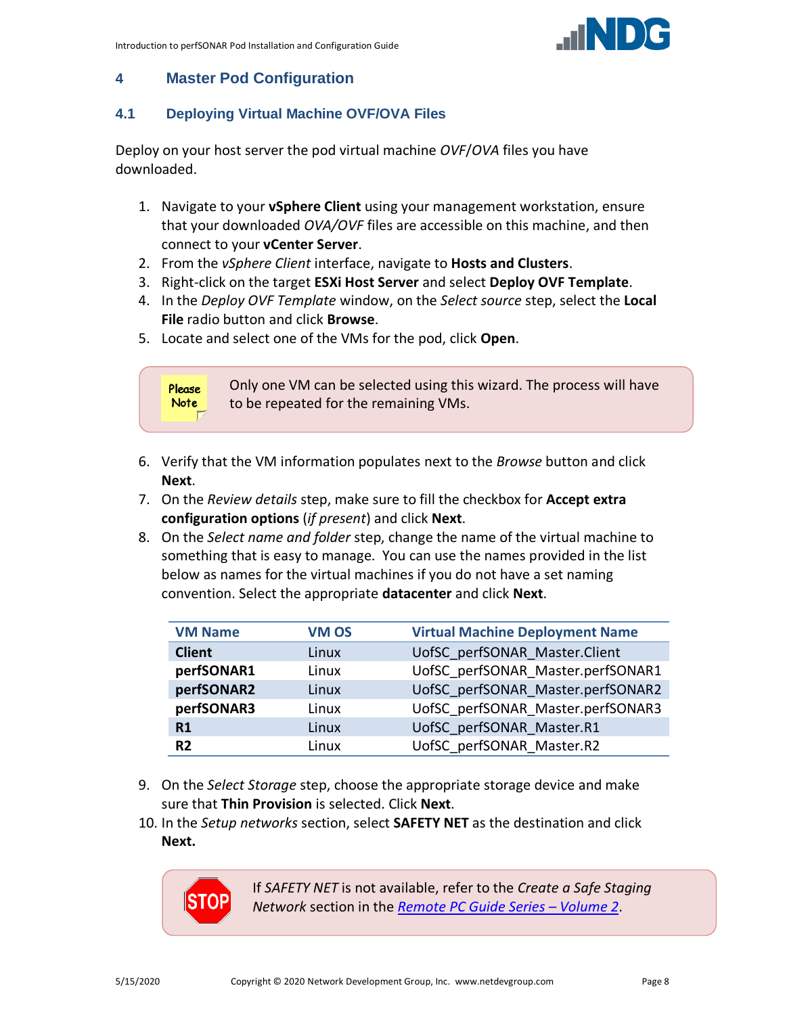

#### <span id="page-7-0"></span>**4 Master Pod Configuration**

#### <span id="page-7-1"></span>**4.1 Deploying Virtual Machine OVF/OVA Files**

Deploy on your host server the pod virtual machine *OVF*/*OVA* files you have downloaded.

- 1. Navigate to your **vSphere Client** using your management workstation, ensure that your downloaded *OVA/OVF* files are accessible on this machine, and then connect to your **vCenter Server**.
- 2. From the *vSphere Client* interface, navigate to **Hosts and Clusters**.
- 3. Right-click on the target **ESXi Host Server** and select **Deploy OVF Template**.
- 4. In the *Deploy OVF Template* window, on the *Select source* step, select the **Local File** radio button and click **Browse**.
- 5. Locate and select one of the VMs for the pod, click **Open**.



- 6. Verify that the VM information populates next to the *Browse* button and click **Next**.
- 7. On the *Review details* step, make sure to fill the checkbox for **Accept extra configuration options** (*if present*) and click **Next**.
- 8. On the *Select name and folder* step, change the name of the virtual machine to something that is easy to manage. You can use the names provided in the list below as names for the virtual machines if you do not have a set naming convention. Select the appropriate **datacenter** and click **Next**.

| <b>VM Name</b> | <b>VM OS</b> | <b>Virtual Machine Deployment Name</b> |
|----------------|--------------|----------------------------------------|
| <b>Client</b>  | Linux        | UofSC perfSONAR Master.Client          |
| perfSONAR1     | Linux        | UofSC perfSONAR Master.perfSONAR1      |
| perfSONAR2     | Linux        | UofSC perfSONAR Master.perfSONAR2      |
| perfSONAR3     | Linux        | UofSC perfSONAR Master.perfSONAR3      |
| R1             | Linux        | UofSC perfSONAR Master.R1              |
| R <sub>2</sub> | Linux        | UofSC perfSONAR Master.R2              |

- 9. On the *Select Storage* step, choose the appropriate storage device and make sure that **Thin Provision** is selected. Click **Next**.
- 10. In the *Setup networks* section, select **SAFETY NET** as the destination and click **Next.**



If *SAFETY NET* is not available, refer to the *Create a Safe Staging Network* section in the *[Remote PC Guide Series](http://www.netdevgroup.com/support/documentation/NETLAB_Remote_PC_Guide_Vol_2_Installation.pdf) – Volume 2*.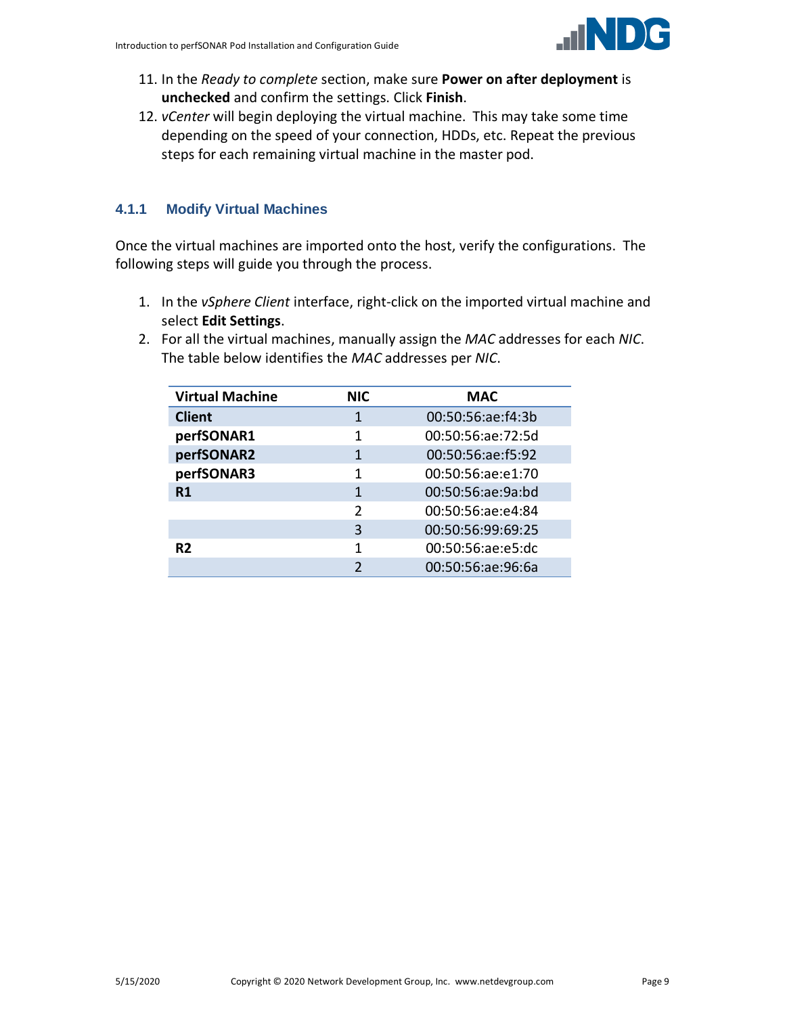

- 11. In the *Ready to complete* section, make sure **Power on after deployment** is **unchecked** and confirm the settings. Click **Finish**.
- 12. *vCenter* will begin deploying the virtual machine. This may take some time depending on the speed of your connection, HDDs, etc. Repeat the previous steps for each remaining virtual machine in the master pod.

#### <span id="page-8-0"></span>**4.1.1 Modify Virtual Machines**

Once the virtual machines are imported onto the host, verify the configurations. The following steps will guide you through the process.

- 1. In the *vSphere Client* interface, right-click on the imported virtual machine and select **Edit Settings**.
- 2. For all the virtual machines, manually assign the *MAC* addresses for each *NIC*. The table below identifies the *MAC* addresses per *NIC*.

| <b>Virtual Machine</b> | <b>NIC</b>    | <b>MAC</b>        |
|------------------------|---------------|-------------------|
| <b>Client</b>          | 1             | 00:50:56:ae:f4:3b |
| perfSONAR1             | 1             | 00:50:56:ae:72:5d |
| perfSONAR2             | 1             | 00:50:56:ae:f5:92 |
| perfSONAR3             | 1             | 00:50:56:ae:e1:70 |
| R1                     | 1             | 00:50:56:ae:9a:bd |
|                        | $\mathcal{P}$ | 00:50:56:ae:e4:84 |
|                        | 3             | 00:50:56:99:69:25 |
| R <sub>2</sub>         | 1             | 00:50:56:ae:e5:dc |
|                        | っ             | 00:50:56:ae:96:6a |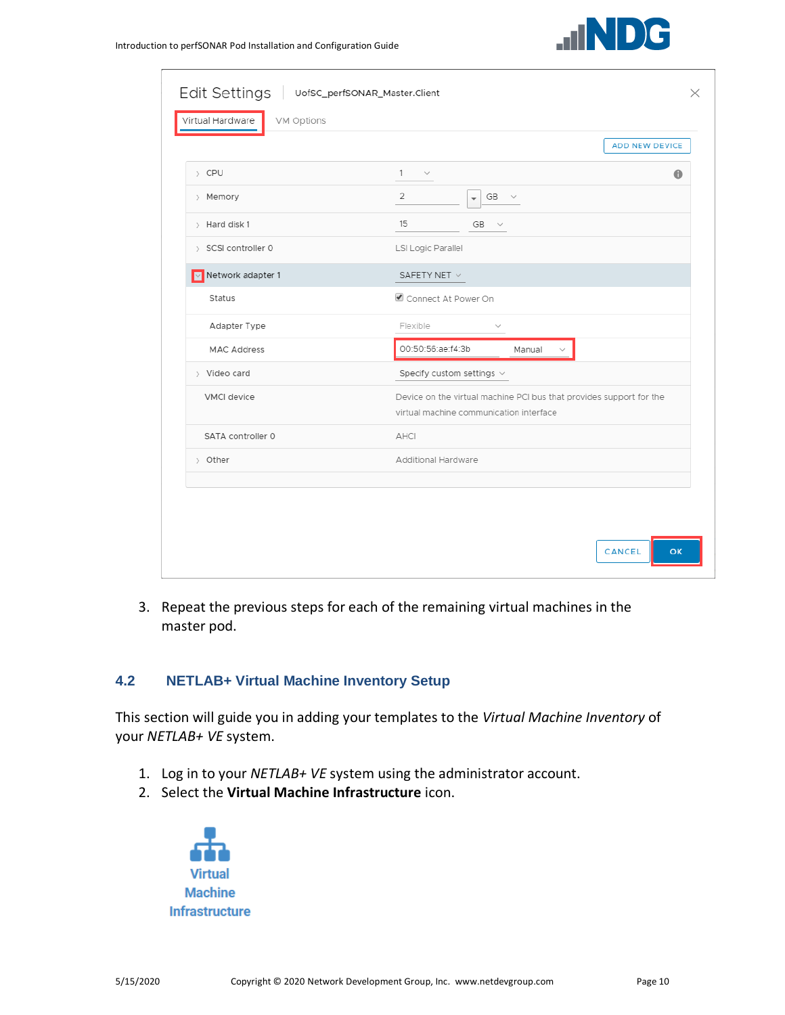

|                     | ADD NEW DEVICE                                                                                                 |
|---------------------|----------------------------------------------------------------------------------------------------------------|
| > CPU               | $1 \sim$<br>$\bullet$                                                                                          |
| > Memory            | $\overline{2}$<br>GB<br>$\check{~}$<br>$\overline{\phantom{a}}$                                                |
| > Hard disk 1       | 15<br><b>GB</b><br>$\sim$                                                                                      |
| > SCSI controller 0 | LSI Logic Parallel                                                                                             |
| V Network adapter 1 | SAFETY NET $\vee$                                                                                              |
| Status              | Connect At Power On                                                                                            |
| Adapter Type        | Flexible<br>$\sim$                                                                                             |
| <b>MAC Address</b>  | 00:50:56:ae:f4:3b<br>Manual                                                                                    |
| > Video card        | Specify custom settings $\vee$                                                                                 |
| <b>VMCI</b> device  | Device on the virtual machine PCI bus that provides support for the<br>virtual machine communication interface |
| SATA controller 0   | AHCI                                                                                                           |
| > Other             | Additional Hardware                                                                                            |
|                     |                                                                                                                |

3. Repeat the previous steps for each of the remaining virtual machines in the master pod.

#### <span id="page-9-0"></span>**4.2 NETLAB+ Virtual Machine Inventory Setup**

This section will guide you in adding your templates to the *Virtual Machine Inventory* of your *NETLAB+ VE* system.

- 1. Log in to your *NETLAB+ VE* system using the administrator account.
- 2. Select the **Virtual Machine Infrastructure** icon.

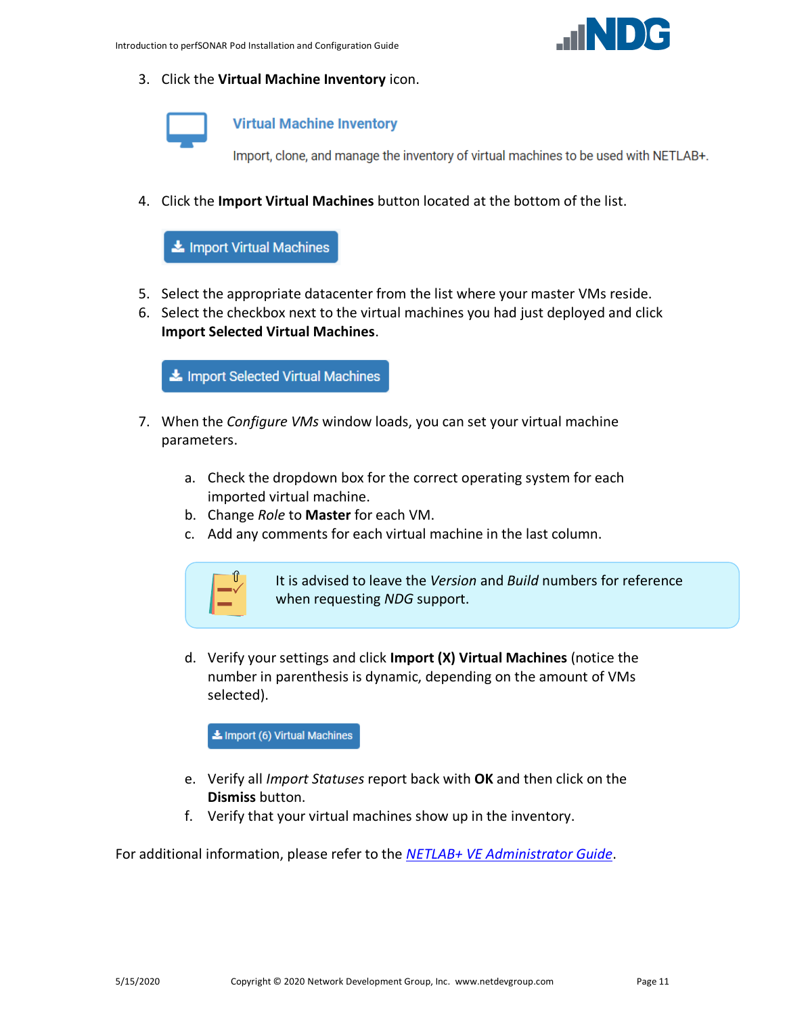

3. Click the **Virtual Machine Inventory** icon.



**Virtual Machine Inventory** 

Import, clone, and manage the inventory of virtual machines to be used with NETLAB+.

4. Click the **Import Virtual Machines** button located at the bottom of the list.

Import Virtual Machines

- 5. Select the appropriate datacenter from the list where your master VMs reside.
- 6. Select the checkbox next to the virtual machines you had just deployed and click **Import Selected Virtual Machines**.

Import Selected Virtual Machines

- 7. When the *Configure VMs* window loads, you can set your virtual machine parameters.
	- a. Check the dropdown box for the correct operating system for each imported virtual machine.
	- b. Change *Role* to **Master** for each VM.
	- c. Add any comments for each virtual machine in the last column.



It is advised to leave the *Version* and *Build* numbers for reference when requesting *NDG* support.

d. Verify your settings and click **Import (X) Virtual Machines** (notice the number in parenthesis is dynamic, depending on the amount of VMs selected).

Import (6) Virtual Machines

- e. Verify all *Import Statuses* report back with **OK** and then click on the **Dismiss** button.
- f. Verify that your virtual machines show up in the inventory.

For additional information, please refer to the *[NETLAB+ VE Administrator Guide](http://www.netdevgroup.com/support/documentation/netlabve/netlabve_administrator_guide.pdf#nameddest=virtual_machine_infrastructure)*.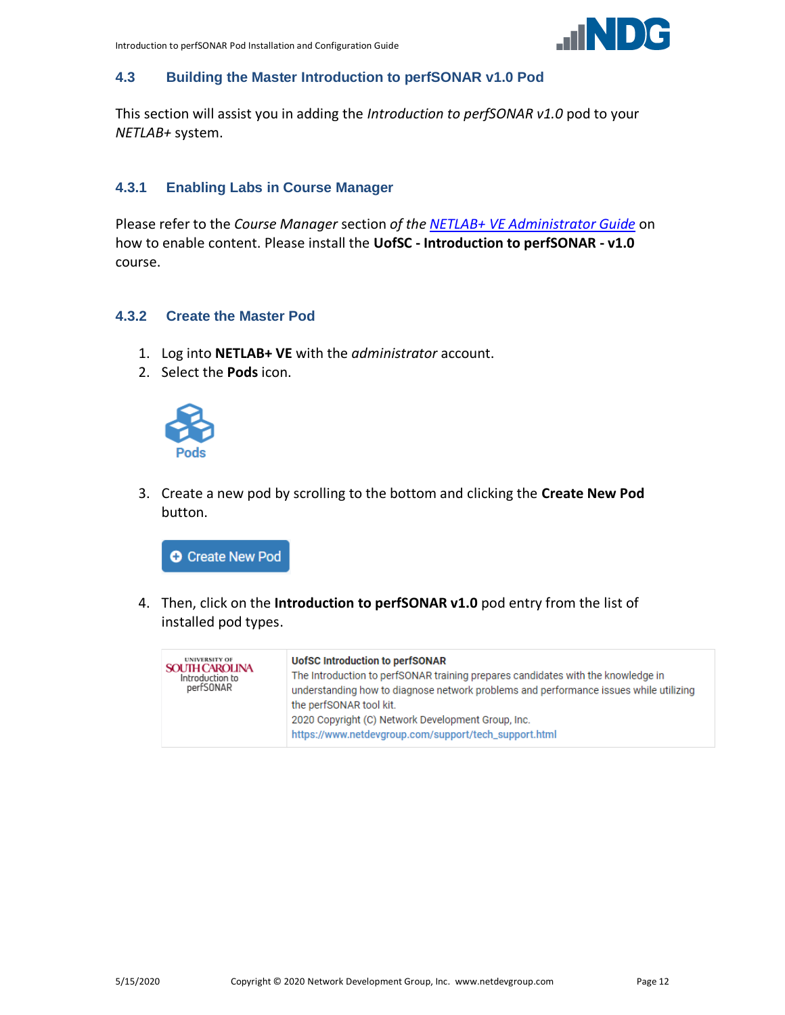

#### <span id="page-11-0"></span>**4.3 Building the Master Introduction to perfSONAR v1.0 Pod**

This section will assist you in adding the *Introduction to perfSONAR v1.0* pod to your *NETLAB+* system.

#### <span id="page-11-1"></span>**4.3.1 Enabling Labs in Course Manager**

Please refer to the *Course Manager* section *of the [NETLAB+ VE Administrator Guide](https://www.netdevgroup.com/support/documentation/netlabve/netlabve_administrator_guide.pdf#nameddest=course_manager)* on how to enable content. Please install the **UofSC - Introduction to perfSONAR - v1.0** course.

#### <span id="page-11-2"></span>**4.3.2 Create the Master Pod**

- 1. Log into **NETLAB+ VE** with the *administrator* account.
- 2. Select the **Pods** icon.



3. Create a new pod by scrolling to the bottom and clicking the **Create New Pod** button.



4. Then, click on the **Introduction to perfSONAR v1.0** pod entry from the list of installed pod types.

| <b>UNIVERSITY OF</b><br><b>SOUTH CAROLINA</b><br>Introduction to<br>perfSONAR | <b>UofSC Introduction to perfSONAR</b><br>The Introduction to perfSONAR training prepares candidates with the knowledge in<br>understanding how to diagnose network problems and performance issues while utilizing<br>the perfSONAR tool kit.<br>2020 Copyright (C) Network Development Group, Inc.<br>https://www.netdevgroup.com/support/tech_support.html |
|-------------------------------------------------------------------------------|---------------------------------------------------------------------------------------------------------------------------------------------------------------------------------------------------------------------------------------------------------------------------------------------------------------------------------------------------------------|
|-------------------------------------------------------------------------------|---------------------------------------------------------------------------------------------------------------------------------------------------------------------------------------------------------------------------------------------------------------------------------------------------------------------------------------------------------------|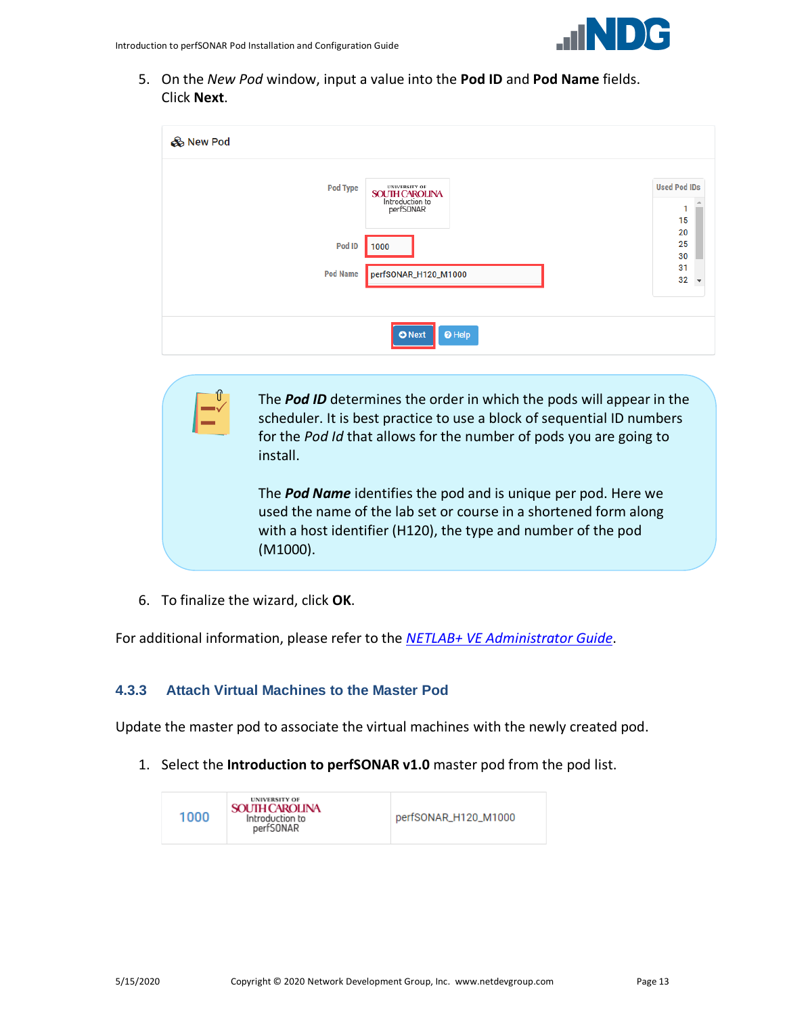

5. On the *New Pod* window, input a value into the **Pod ID** and **Pod Name** fields. Click **Next**.

| & New Pod       |                                                                               |                                      |
|-----------------|-------------------------------------------------------------------------------|--------------------------------------|
| Pod Type        | <b>UNIVERSITY OF</b><br><b>SOUTH CAROLINA</b><br>Introduction to<br>perfSONAR | <b>Used Pod IDs</b><br>1<br>15       |
| Pod ID          | 1000                                                                          | 20<br>25<br>30                       |
| <b>Pod Name</b> | perfSONAR_H120_M1000                                                          | 31<br>32<br>$\overline{\phantom{a}}$ |
|                 |                                                                               |                                      |
|                 | $\Theta$ Help<br><b>O</b> Next                                                |                                      |

The *Pod ID* determines the order in which the pods will appear in the scheduler. It is best practice to use a block of sequential ID numbers for the *Pod Id* that allows for the number of pods you are going to install.

The *Pod Name* identifies the pod and is unique per pod. Here we used the name of the lab set or course in a shortened form along with a host identifier (H120), the type and number of the pod (M1000).

6. To finalize the wizard, click **OK**.

For additional information, please refer to the *NETLAB+ VE [Administrator Guide](http://www.netdevgroup.com/support/documentation/netlabve/netlabve_administrator_guide.pdf)*.

#### <span id="page-12-0"></span>**4.3.3 Attach Virtual Machines to the Master Pod**

Update the master pod to associate the virtual machines with the newly created pod.

1. Select the **Introduction to perfSONAR v1.0** master pod from the pod list.

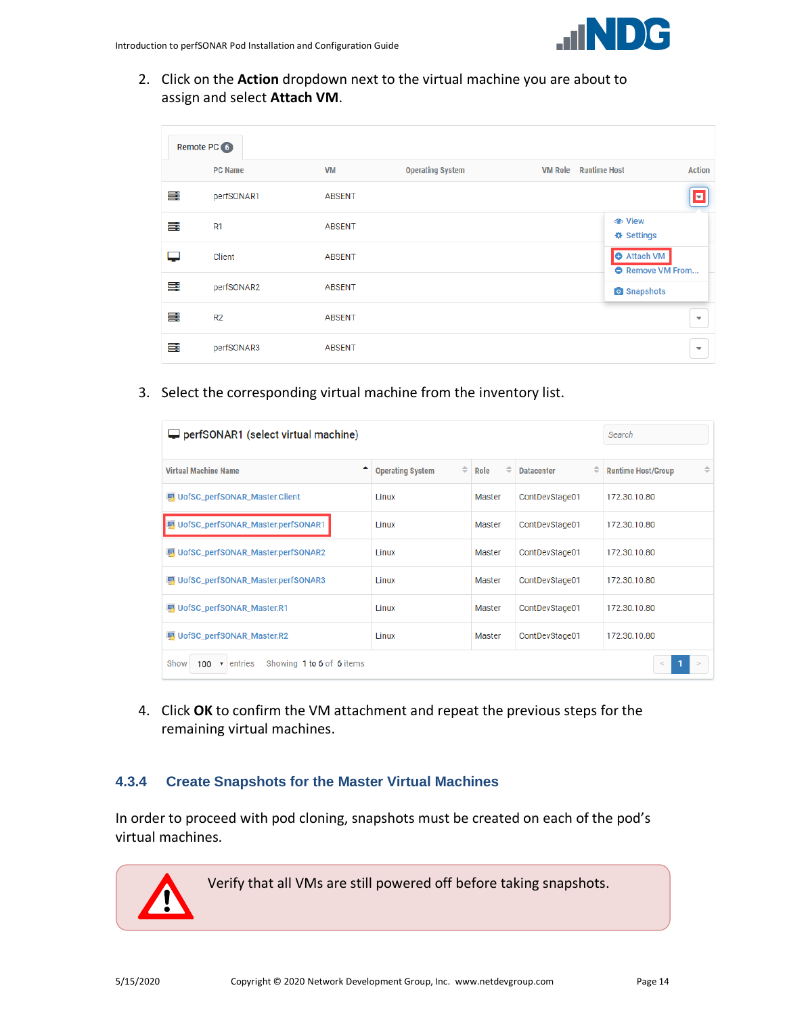

2. Click on the **Action** dropdown next to the virtual machine you are about to assign and select **Attach VM**.

|    | Remote PC 6    |               |                         |                |                                                    |                         |
|----|----------------|---------------|-------------------------|----------------|----------------------------------------------------|-------------------------|
|    | <b>PC Name</b> | <b>VM</b>     | <b>Operating System</b> | <b>VM Role</b> | <b>Runtime Host</b>                                | <b>Action</b>           |
| ≣  | perfSONAR1     | <b>ABSENT</b> |                         |                |                                                    | z                       |
| ≣  | R1             | <b>ABSENT</b> |                         |                | <b>●</b> View<br><b><math>\Phi</math></b> Settings |                         |
|    | Client         | <b>ABSENT</b> |                         |                | <b>O</b> Attach VM<br><b>O</b> Remove VM From      |                         |
| ≣  | perfSONAR2     | <b>ABSENT</b> |                         |                | <b>O</b> Snapshots                                 |                         |
| ≣  | R <sub>2</sub> | <b>ABSENT</b> |                         |                |                                                    | ▽                       |
| ≣: | perfSONAR3     | <b>ABSENT</b> |                         |                |                                                    | $\overline{\mathbf{v}}$ |

3. Select the corresponding virtual machine from the inventory list.

| perfSONAR1 (select virtual machine)                        | Search                       |           |                        |                           |
|------------------------------------------------------------|------------------------------|-----------|------------------------|---------------------------|
| <b>Virtual Machine Name</b>                                | ÷<br><b>Operating System</b> | ÷<br>Role | ÷<br><b>Datacenter</b> | <b>Runtime Host/Group</b> |
| UofSC_perfSONAR_Master.Client                              | Linux                        | Master    | ContDevStage01         | 172.30.10.80              |
| UofSC_perfSONAR_Master.perfSONAR1                          | Linux                        | Master    | ContDevStage01         | 172.30.10.80              |
| UofSC_perfSONAR_Master.perfSONAR2                          | Linux                        | Master    | ContDevStage01         | 172.30.10.80              |
| UofSC_perfSONAR_Master.perfSONAR3                          | 1 inux                       | Master    | ContDevStage01         | 172.30.10.80              |
| UofSC_perfSONAR_Master.R1                                  | <b>Linux</b>                 | Master    | ContDevStage01         | 172.30.10.80              |
| UofSC_perfSONAR_Master.R2                                  | Linux                        | Master    | ContDevStage01         | 172.30.10.80              |
| Showing 1 to 6 of 6 items<br>Show<br>100 $\bullet$ entries |                              |           |                        |                           |

4. Click **OK** to confirm the VM attachment and repeat the previous steps for the remaining virtual machines.

#### <span id="page-13-0"></span>**4.3.4 Create Snapshots for the Master Virtual Machines**

In order to proceed with pod cloning, snapshots must be created on each of the pod's virtual machines.

Verify that all VMs are still powered off before taking snapshots.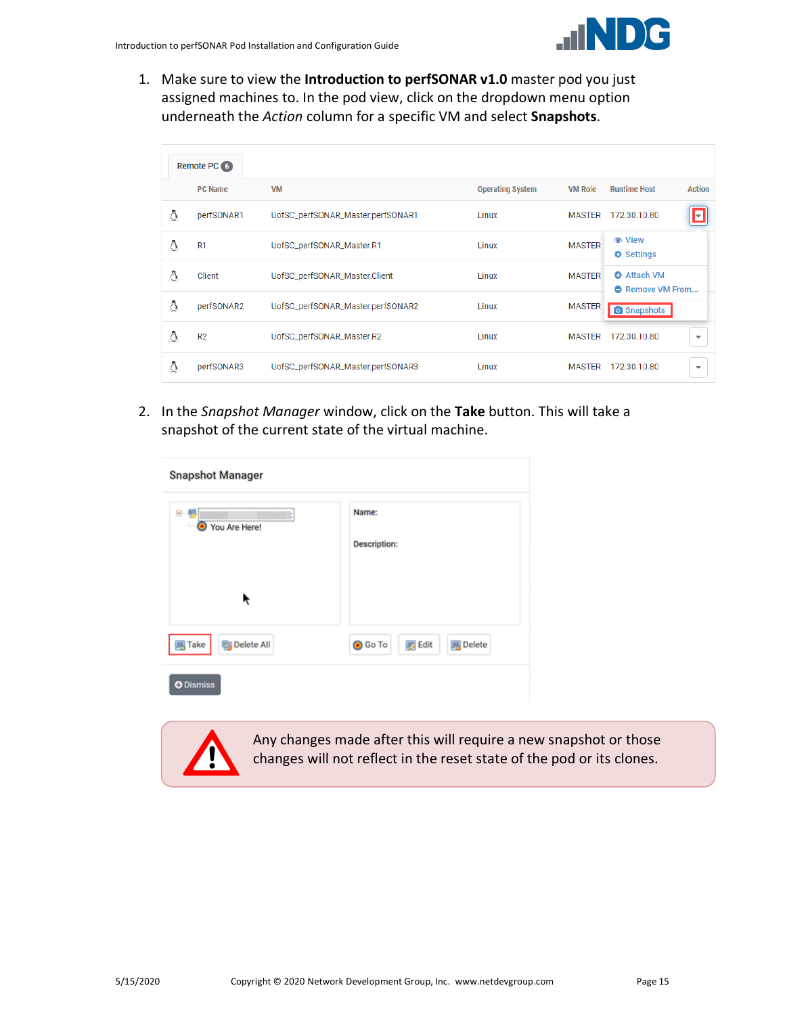1. Make sure to view the **Introduction to perfSONAR v1.0** master pod you just assigned machines to. In the pod view, click on the dropdown menu option underneath the *Action* column for a specific VM and select **Snapshots**.

|   | Remote PC 6    |                                   |                         |                |                                               |               |
|---|----------------|-----------------------------------|-------------------------|----------------|-----------------------------------------------|---------------|
|   | <b>PC Name</b> | <b>VM</b>                         | <b>Operating System</b> | <b>VM Role</b> | <b>Runtime Host</b>                           | <b>Action</b> |
| Δ | perfSONAR1     | UofSC_perfSONAR_Master.perfSONAR1 | Linux                   | <b>MASTER</b>  | 172.30.10.80                                  | u             |
| Δ | R1             | UofSC_perfSONAR_Master.R1         | Linux                   | <b>MASTER</b>  | <b><math>\Phi</math></b> Settings             |               |
| Δ | Client         | UofSC_perfSONAR_Master.Client     | Linux                   | <b>MASTER</b>  | <b>O</b> Attach VM<br><b>O</b> Remove VM From |               |
| Δ | perfSONAR2     | UofSC_perfSONAR_Master.perfSONAR2 | Linux                   | <b>MASTER</b>  | <b>O</b> Snapshots                            |               |
| Δ | R <sub>2</sub> | UofSC_perfSONAR_Master.R2         | Linux                   | <b>MASTER</b>  | 172.30.10.80                                  | ◡             |
| Δ | perfSONAR3     | UofSC_perfSONAR_Master.perfSONAR3 | Linux                   | <b>MASTER</b>  | 172.30.10.80                                  | ▽             |

2. In the *Snapshot Manager* window, click on the **Take** button. This will take a snapshot of the current state of the virtual machine.

| <b>Snapshot Manager</b>           |                                                    |
|-----------------------------------|----------------------------------------------------|
| ė-<br>You Are Here!<br>۰          | Name:<br><b>Description:</b>                       |
| ř                                 |                                                    |
| $\overline{B}$ Take<br>Delete All | <b>O</b> Go To<br><b>B</b> Delete<br><b>B</b> Edit |
| <b>O</b> Dismiss                  |                                                    |

Any changes made after this will require a new snapshot or those changes will not reflect in the reset state of the pod or its clones.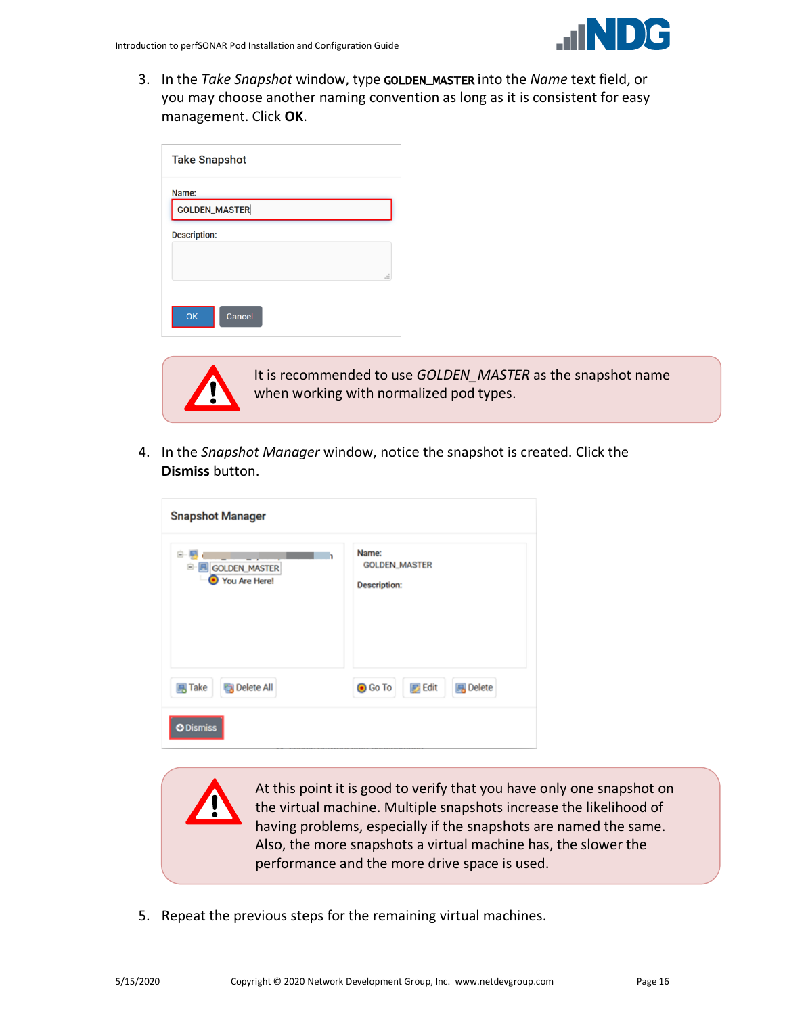3. In the *Take Snapshot* window, type GOLDEN\_MASTER into the *Name* text field, or you may choose another naming convention as long as it is consistent for easy management. Click **OK**.

| <b>Take Snapshot</b> |   |
|----------------------|---|
| Name:                |   |
| <b>GOLDEN_MASTER</b> |   |
| <b>Description:</b>  |   |
|                      |   |
|                      | i |
| OK<br>Cancel         |   |



It is recommended to use *GOLDEN\_MASTER* as the snapshot name when working with normalized pod types.

4. In the *Snapshot Manager* window, notice the snapshot is created. Click the **Dismiss** button.

| <b>Snapshot Manager</b>                           |                                                      |
|---------------------------------------------------|------------------------------------------------------|
| Ė<br><b>N</b> GOLDEN MASTER<br>8<br>Vou Are Here! | Name:<br><b>GOLDEN_MASTER</b><br><b>Description:</b> |
| Delete All<br><b>再 Take</b>                       | <b>Edit</b><br><b>O</b> Go To<br><b>風</b> Delete     |
| <b>O</b> Dismiss                                  |                                                      |

At this point it is good to verify that you have only one snapshot on the virtual machine. Multiple snapshots increase the likelihood of having problems, especially if the snapshots are named the same. Also, the more snapshots a virtual machine has, the slower the performance and the more drive space is used.

5. Repeat the previous steps for the remaining virtual machines.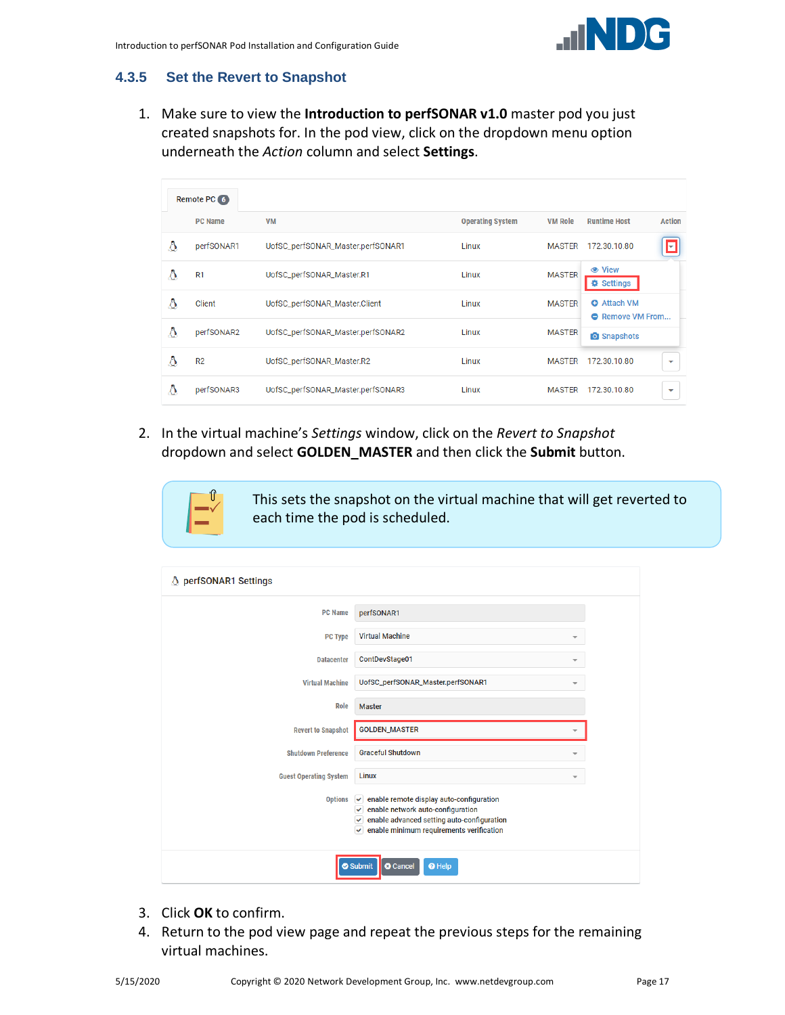

#### <span id="page-16-0"></span>**4.3.5 Set the Revert to Snapshot**

1. Make sure to view the **Introduction to perfSONAR v1.0** master pod you just created snapshots for. In the pod view, click on the dropdown menu option underneath the *Action* column and select **Settings**.

|   | Remote PC 6    |                                   |                         |                |                                               |                          |
|---|----------------|-----------------------------------|-------------------------|----------------|-----------------------------------------------|--------------------------|
|   | <b>PC Name</b> | <b>VM</b>                         | <b>Operating System</b> | <b>VM Role</b> | <b>Runtime Host</b>                           | <b>Action</b>            |
| Δ | perfSONAR1     | UofSC_perfSONAR_Master.perfSONAR1 | Linux                   | <b>MASTER</b>  | 172.30.10.80                                  | $\vert \texttt{-} \vert$ |
| Δ | R <sub>1</sub> | UofSC_perfSONAR_Master.R1         | Linux                   | <b>MASTER</b>  | <b> ⊙</b> View<br><b>♦ Settings</b>           |                          |
| Δ | Client         | UofSC_perfSONAR_Master.Client     | Linux                   | <b>MASTER</b>  | <b>O</b> Attach VM<br><b>A</b> Remove VM From |                          |
| Δ | perfSONAR2     | UofSC_perfSONAR_Master.perfSONAR2 | Linux                   | <b>MASTER</b>  | <b>O</b> Snapshots                            |                          |
| Δ | R <sub>2</sub> | UofSC_perfSONAR_Master.R2         | Linux                   | <b>MASTER</b>  | 172.30.10.80                                  | $\overline{\phantom{a}}$ |
| Δ | perfSONAR3     | UofSC_perfSONAR_Master.perfSONAR3 | Linux                   | <b>MASTER</b>  | 172.30.10.80                                  | ▼                        |
|   |                |                                   |                         |                |                                               |                          |

2. In the virtual machine's *Settings* window, click on the *Revert to Snapshot* dropdown and select **GOLDEN\_MASTER** and then click the **Submit** button.



This sets the snapshot on the virtual machine that will get reverted to each time the pod is scheduled.

| △ perfSONAR1 Settings         |                                                                                                                                                                                                     |  |
|-------------------------------|-----------------------------------------------------------------------------------------------------------------------------------------------------------------------------------------------------|--|
| <b>PC Name</b>                | perfSONAR1                                                                                                                                                                                          |  |
| <b>PC Type</b>                | <b>Virtual Machine</b>                                                                                                                                                                              |  |
| <b>Datacenter</b>             | ContDevStage01<br>$\overline{\phantom{a}}$                                                                                                                                                          |  |
| <b>Virtual Machine</b>        | UofSC_perfSONAR_Master.perfSONAR1                                                                                                                                                                   |  |
| Role                          | <b>Master</b>                                                                                                                                                                                       |  |
| <b>Revert to Snapshot</b>     | <b>GOLDEN_MASTER</b>                                                                                                                                                                                |  |
| <b>Shutdown Preference</b>    | <b>Graceful Shutdown</b>                                                                                                                                                                            |  |
| <b>Guest Operating System</b> | Linux                                                                                                                                                                                               |  |
| <b>Options</b>                | enable remote display auto-configuration<br>$\checkmark$<br>$\vee$ enable network auto-configuration<br>enable advanced setting auto-configuration<br>enable minimum requirements verification<br>✓ |  |
|                               | Submit<br><b>O</b> Cancel<br><sup>O</sup> Help                                                                                                                                                      |  |

- 3. Click **OK** to confirm.
- 4. Return to the pod view page and repeat the previous steps for the remaining virtual machines.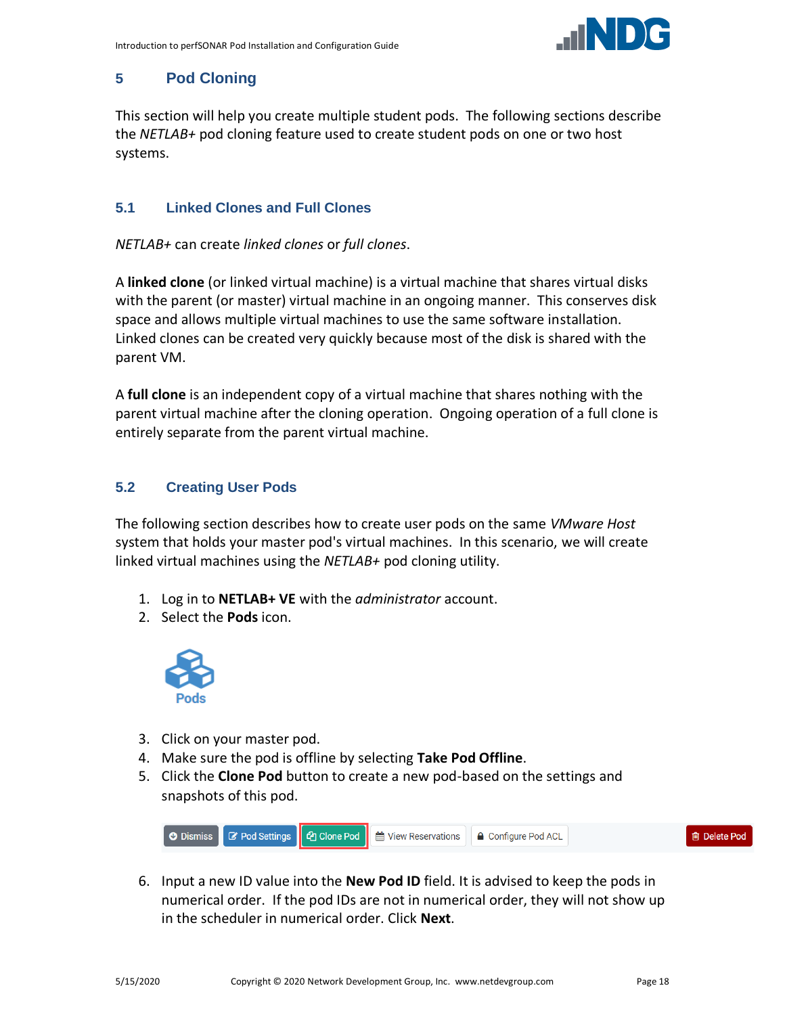

#### <span id="page-17-0"></span>**5 Pod Cloning**

This section will help you create multiple student pods. The following sections describe the *NETLAB+* pod cloning feature used to create student pods on one or two host systems.

#### <span id="page-17-1"></span>**5.1 Linked Clones and Full Clones**

*NETLAB+* can create *linked clones* or *full clones*.

A **linked clone** (or linked virtual machine) is a virtual machine that shares virtual disks with the parent (or master) virtual machine in an ongoing manner. This conserves disk space and allows multiple virtual machines to use the same software installation. Linked clones can be created very quickly because most of the disk is shared with the parent VM.

A **full clone** is an independent copy of a virtual machine that shares nothing with the parent virtual machine after the cloning operation. Ongoing operation of a full clone is entirely separate from the parent virtual machine.

#### <span id="page-17-2"></span>**5.2 Creating User Pods**

The following section describes how to create user pods on the same *VMware Host* system that holds your master pod's virtual machines. In this scenario, we will create linked virtual machines using the *NETLAB+* pod cloning utility.

- 1. Log in to **NETLAB+ VE** with the *administrator* account.
- 2. Select the **Pods** icon.



- 3. Click on your master pod.
- 4. Make sure the pod is offline by selecting **Take Pod Offline**.
- 5. Click the **Clone Pod** button to create a new pod-based on the settings and snapshots of this pod.



6. Input a new ID value into the **New Pod ID** field. It is advised to keep the pods in numerical order. If the pod IDs are not in numerical order, they will not show up in the scheduler in numerical order. Click **Next**.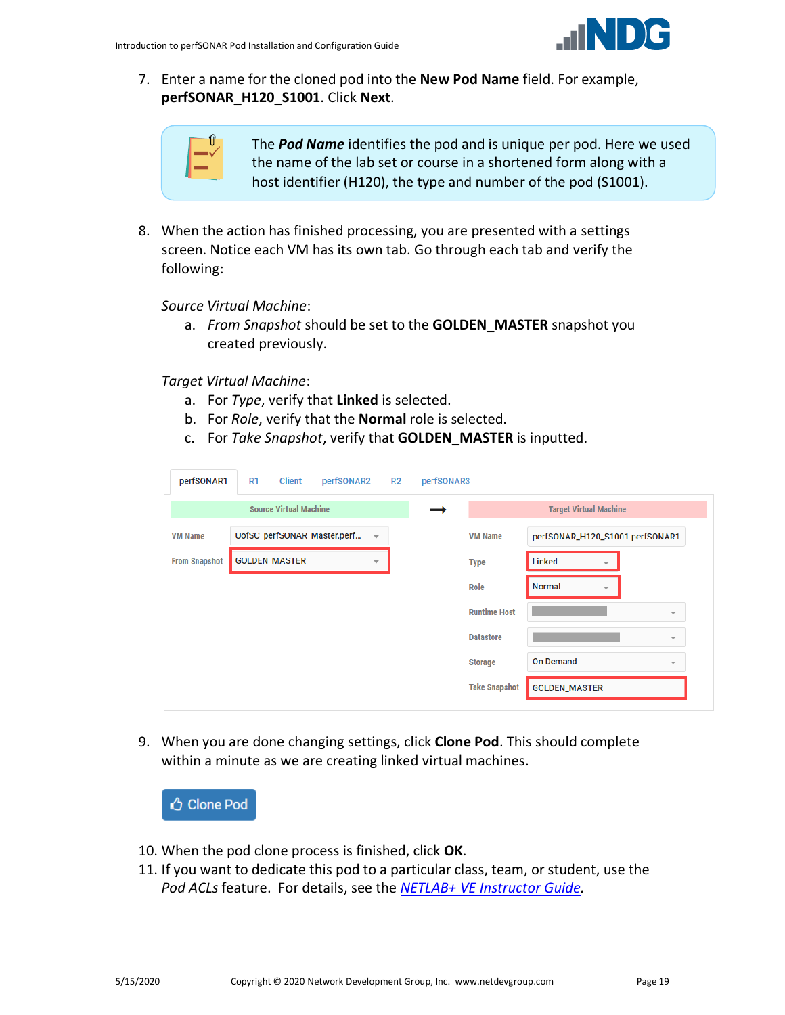

7. Enter a name for the cloned pod into the **New Pod Name** field. For example, **perfSONAR\_H120\_S1001**. Click **Next**.

The *Pod Name* identifies the pod and is unique per pod. Here we used the name of the lab set or course in a shortened form along with a host identifier (H120), the type and number of the pod (S1001).

8. When the action has finished processing, you are presented with a settings screen. Notice each VM has its own tab. Go through each tab and verify the following:

*Source Virtual Machine*:

a. *From Snapshot* should be set to the **GOLDEN\_MASTER** snapshot you created previously.

*Target Virtual Machine*:

- a. For *Type*, verify that **Linked** is selected.
- b. For *Role*, verify that the **Normal** role is selected.
- c. For *Take Snapshot*, verify that **GOLDEN\_MASTER** is inputted.

| perfSONAR1           | R1                   | <b>Client</b>                 | perfSONAR2                  |                          | R2 | perfSONAR3 |                      |                                           |                          |
|----------------------|----------------------|-------------------------------|-----------------------------|--------------------------|----|------------|----------------------|-------------------------------------------|--------------------------|
|                      |                      | <b>Source Virtual Machine</b> |                             |                          |    |            |                      | <b>Target Virtual Machine</b>             |                          |
| <b>VM Name</b>       |                      |                               | UofSC_perfSONAR_Master.perf | $\overline{\phantom{a}}$ |    |            | <b>VM Name</b>       | perfSONAR_H120_S1001.perfSONAR1           |                          |
| <b>From Snapshot</b> | <b>GOLDEN_MASTER</b> |                               |                             | $\overline{\mathbf{v}}$  |    |            | <b>Type</b>          | Linked<br>$\overline{\phantom{a}}$        |                          |
|                      |                      |                               |                             |                          |    |            | Role                 | <b>Normal</b><br>$\overline{\phantom{a}}$ |                          |
|                      |                      |                               |                             |                          |    |            | <b>Runtime Host</b>  |                                           | $\overline{\phantom{a}}$ |
|                      |                      |                               |                             |                          |    |            | <b>Datastore</b>     |                                           | $\overline{\phantom{a}}$ |
|                      |                      |                               |                             |                          |    |            | <b>Storage</b>       | <b>On Demand</b>                          | $\overline{\phantom{a}}$ |
|                      |                      |                               |                             |                          |    |            | <b>Take Snapshot</b> | <b>GOLDEN_MASTER</b>                      |                          |

9. When you are done changing settings, click **Clone Pod**. This should complete within a minute as we are creating linked virtual machines.



- 10. When the pod clone process is finished, click **OK**.
- 11. If you want to dedicate this pod to a particular class, team, or student, use the *Pod ACLs* feature. For details, see the *[NETLAB+ VE Instructor Guide.](http://www.netdevgroup.com/support/documentation/netlabve/netlabve_instructor_guide.pdf#nameddest=manage_pod_acls)*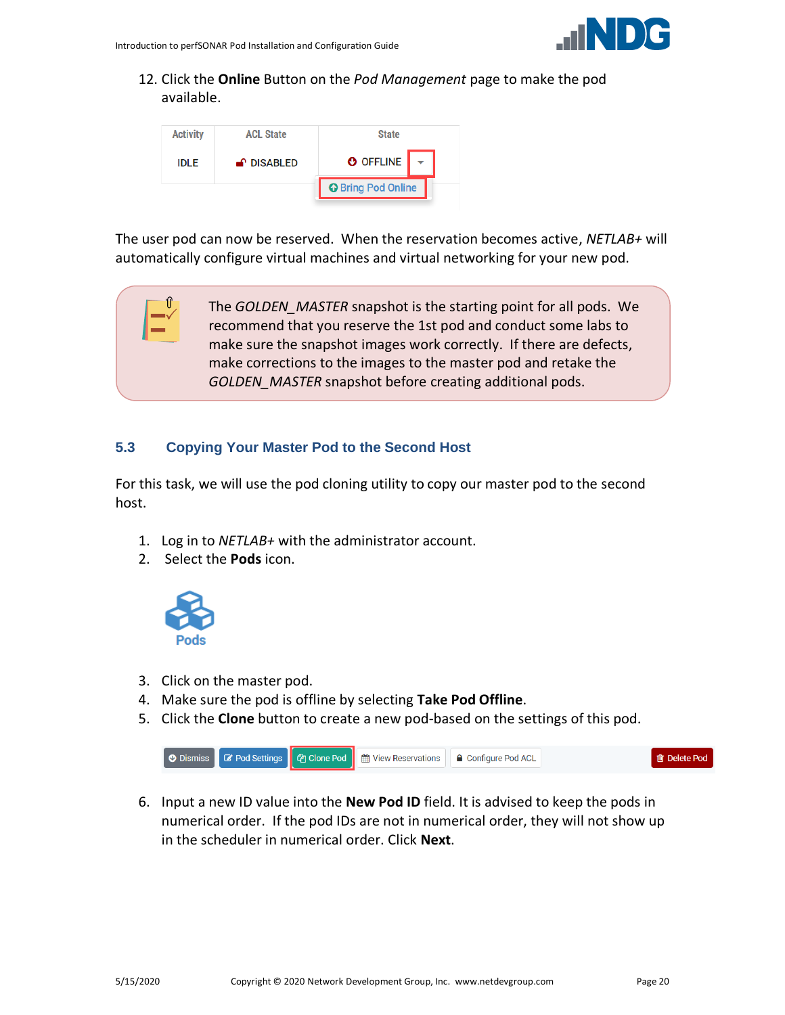

12. Click the **Online** Button on the *Pod Management* page to make the pod available.



The user pod can now be reserved. When the reservation becomes active, *NETLAB+* will automatically configure virtual machines and virtual networking for your new pod.

> The *GOLDEN\_MASTER* snapshot is the starting point for all pods. We recommend that you reserve the 1st pod and conduct some labs to make sure the snapshot images work correctly. If there are defects, make corrections to the images to the master pod and retake the *GOLDEN\_MASTER* snapshot before creating additional pods.

#### <span id="page-19-0"></span>**5.3 Copying Your Master Pod to the Second Host**

For this task, we will use the pod cloning utility to copy our master pod to the second host.

- 1. Log in to *NETLAB+* with the administrator account.
- 2. Select the **Pods** icon.



'ſf

- 3. Click on the master pod.
- 4. Make sure the pod is offline by selecting **Take Pod Offline**.
- 5. Click the **Clone** button to create a new pod-based on the settings of this pod.



6. Input a new ID value into the **New Pod ID** field. It is advised to keep the pods in numerical order. If the pod IDs are not in numerical order, they will not show up in the scheduler in numerical order. Click **Next**.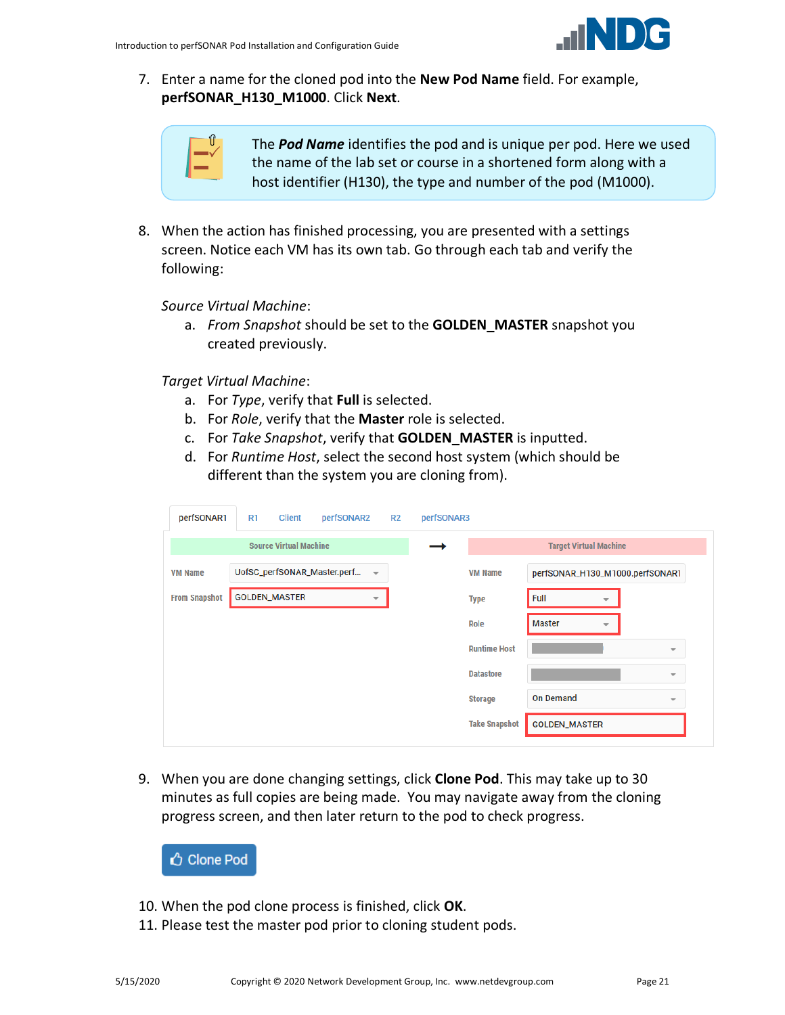

7. Enter a name for the cloned pod into the **New Pod Name** field. For example, **perfSONAR\_H130\_M1000**. Click **Next**.

|  | -<br>ı<br>ı |
|--|-------------|
|  |             |
|  |             |

The *Pod Name* identifies the pod and is unique per pod. Here we used the name of the lab set or course in a shortened form along with a host identifier (H130), the type and number of the pod (M1000).

8. When the action has finished processing, you are presented with a settings screen. Notice each VM has its own tab. Go through each tab and verify the following:

*Source Virtual Machine*:

a. *From Snapshot* should be set to the **GOLDEN\_MASTER** snapshot you created previously.

*Target Virtual Machine*:

- a. For *Type*, verify that **Full** is selected.
- b. For *Role*, verify that the **Master** role is selected.
- c. For *Take Snapshot*, verify that **GOLDEN\_MASTER** is inputted.
- d. For *Runtime Host*, select the second host system (which should be different than the system you are cloning from).

| perfSONAR1           | R1                   | <b>Client</b>                 | perfSONAR2 R2               |                          | perfSONAR3 |                      |                               |   |                                 |
|----------------------|----------------------|-------------------------------|-----------------------------|--------------------------|------------|----------------------|-------------------------------|---|---------------------------------|
|                      |                      | <b>Source Virtual Machine</b> |                             |                          |            |                      | <b>Target Virtual Machine</b> |   |                                 |
| <b>VM Name</b>       |                      |                               | UofSC_perfSONAR_Master.perf | $\overline{\phantom{a}}$ |            | <b>VM Name</b>       |                               |   | perfSONAR_H130_M1000.perfSONAR1 |
| <b>From Snapshot</b> | <b>GOLDEN_MASTER</b> |                               |                             | $\overline{\phantom{a}}$ |            | <b>Type</b>          | Full                          | ÷ |                                 |
|                      |                      |                               |                             |                          |            | Role                 | <b>Master</b>                 | ÷ |                                 |
|                      |                      |                               |                             |                          |            | <b>Runtime Host</b>  |                               |   | $\overline{\phantom{a}}$        |
|                      |                      |                               |                             |                          |            | <b>Datastore</b>     |                               |   | $\overline{\phantom{a}}$        |
|                      |                      |                               |                             |                          |            | <b>Storage</b>       | <b>On Demand</b>              |   | $\overline{\phantom{a}}$        |
|                      |                      |                               |                             |                          |            | <b>Take Snapshot</b> | <b>GOLDEN_MASTER</b>          |   |                                 |

9. When you are done changing settings, click **Clone Pod**. This may take up to 30 minutes as full copies are being made. You may navigate away from the cloning progress screen, and then later return to the pod to check progress.

**△** Clone Pod

- 10. When the pod clone process is finished, click **OK**.
- 11. Please test the master pod prior to cloning student pods.